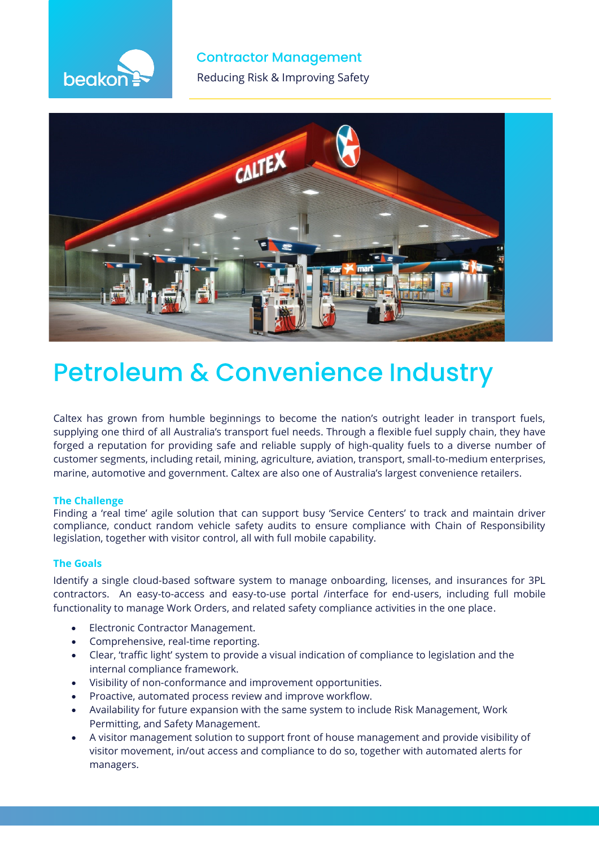

**Contractor Management** 

**The Reducing Risk & Improving Safety** 



# **Petroleum & Convenience Industry**

Caltex has grown from humble beginnings to become the nation's outright leader in transport fuels, supplying one third of all Australia's transport fuel needs. Through a flexible fuel supply chain, they have forged a reputation for providing safe and reliable supply of high-quality fuels to a diverse number of customer segments, including retail, mining, agriculture, aviation, transport, small-to-medium enterprises, marine, automotive and government. Caltex are also one of Australia's largest convenience retailers.

### **The Challenge**

Finding a 'real time' agile solution that can support busy 'Service Centers' to track and maintain driver compliance, conduct random vehicle safety audits to ensure compliance with Chain of Responsibility legislation, together with visitor control, all with full mobile capability.

### **The Goals**

Identify a single cloud-based software system to manage onboarding, licenses, and insurances for 3PL contractors. An easy-to-access and easy-to-use portal /interface for end-users, including full mobile functionality to manage Work Orders, and related safety compliance activities in the one place.

- Electronic Contractor Management.
- Comprehensive, real-time reporting.
- Clear, 'traffic light' system to provide a visual indication of compliance to legislation and the internal compliance framework.
- Visibility of non-conformance and improvement opportunities.
- Proactive, automated process review and improve workflow.
- Availability for future expansion with the same system to include Risk Management, Work Permitting, and Safety Management.
- A visitor management solution to support front of house management and provide visibility of visitor movement, in/out access and compliance to do so, together with automated alerts for managers.